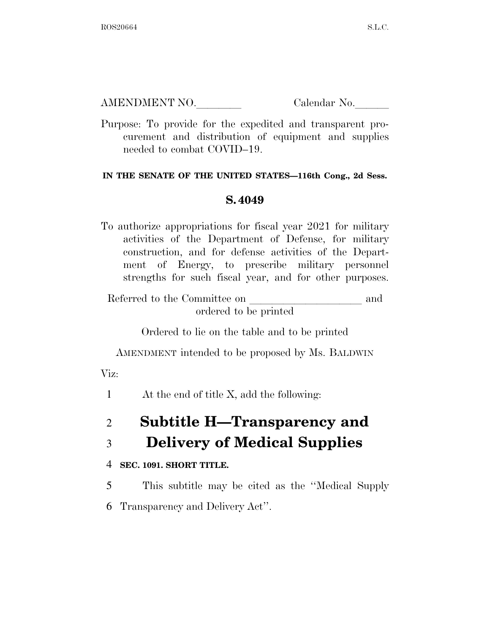AMENDMENT NO. Calendar No.

Purpose: To provide for the expedited and transparent procurement and distribution of equipment and supplies needed to combat COVID–19.

### **IN THE SENATE OF THE UNITED STATES—116th Cong., 2d Sess.**

### **S. 4049**

To authorize appropriations for fiscal year 2021 for military activities of the Department of Defense, for military construction, and for defense activities of the Department of Energy, to prescribe military personnel strengths for such fiscal year, and for other purposes.

Referred to the Committee on and ordered to be printed

Ordered to lie on the table and to be printed

AMENDMENT intended to be proposed by Ms. BALDWIN

Viz:

1 At the end of title X, add the following:

# 2 **Subtitle H—Transparency and**

## 3 **Delivery of Medical Supplies**

### 4 **SEC. 1091. SHORT TITLE.**

5 This subtitle may be cited as the ''Medical Supply

6 Transparency and Delivery Act''.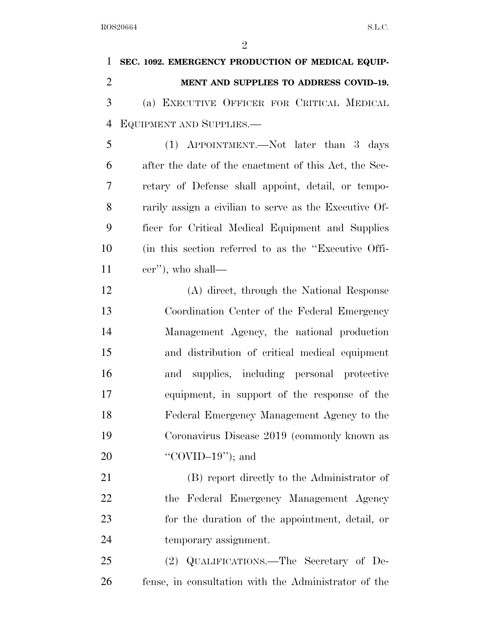| $\mathbf 1$    | SEC. 1092. EMERGENCY PRODUCTION OF MEDICAL EQUIP-      |
|----------------|--------------------------------------------------------|
| $\overline{2}$ | MENT AND SUPPLIES TO ADDRESS COVID-19.                 |
| 3              | (a) EXECUTIVE OFFICER FOR CRITICAL MEDICAL             |
| $\overline{4}$ | EQUIPMENT AND SUPPLIES.                                |
| 5              | (1) APPOINTMENT.—Not later than 3 days                 |
| 6              | after the date of the enactment of this Act, the Sec-  |
| 7              | retary of Defense shall appoint, detail, or tempo-     |
| 8              | rarily assign a civilian to serve as the Executive Of- |
| 9              | ficer for Critical Medical Equipment and Supplies      |
| 10             | (in this section referred to as the "Executive Offi-   |
| 11             | cer"), who shall—                                      |
| 12             | (A) direct, through the National Response              |
| 13             | Coordination Center of the Federal Emergency           |
| 14             | Management Agency, the national production             |
| 15             | and distribution of critical medical equipment         |
| 16             | and supplies, including personal protective            |
| 17             | equipment, in support of the response of the           |
| 18             | Federal Emergency Management Agency to the             |
| 19             | Coronavirus Disease 2019 (commonly known as            |
| 20             | "COVID-19"); and                                       |
| 21             | (B) report directly to the Administrator of            |
| 22             | the Federal Emergency Management Agency                |
| 23             | for the duration of the appointment, detail, or        |
| 24             | temporary assignment.                                  |
| 25             | (2) QUALIFICATIONS.—The Secretary of De-               |
| 26             | fense, in consultation with the Administrator of the   |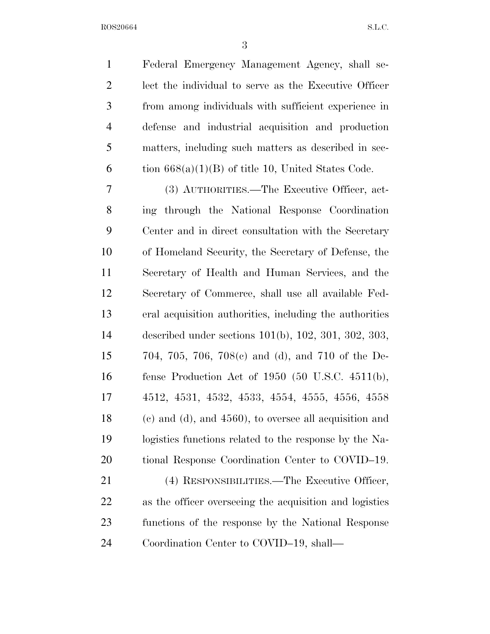| $\mathbf{1}$   | Federal Emergency Management Agency, shall se-                      |
|----------------|---------------------------------------------------------------------|
| $\overline{2}$ | lect the individual to serve as the Executive Officer               |
| 3              | from among individuals with sufficient experience in                |
| $\overline{4}$ | defense and industrial acquisition and production                   |
| 5              | matters, including such matters as described in sec-                |
| 6              | tion $668(a)(1)(B)$ of title 10, United States Code.                |
| 7              | (3) AUTHORITIES.—The Executive Officer, act-                        |
| 8              | ing through the National Response Coordination                      |
| 9              | Center and in direct consultation with the Secretary                |
| 10             | of Homeland Security, the Secretary of Defense, the                 |
| 11             | Secretary of Health and Human Services, and the                     |
| 12             | Secretary of Commerce, shall use all available Fed-                 |
| 13             | eral acquisition authorities, including the authorities             |
| 14             | described under sections $101(b)$ , $102$ , $301$ , $302$ , $303$ , |
| 15             | 704, 705, 706, 708(c) and (d), and 710 of the De-                   |
| 16             | fense Production Act of 1950 (50 U.S.C. $4511(b)$ ,                 |
| 17             | 4512, 4531, 4532, 4533, 4554, 4555, 4556, 4558                      |
| 18             | $(e)$ and $(d)$ , and $4560$ , to oversee all acquisition and       |
| 19             | logistics functions related to the response by the Na-              |
| 20             | tional Response Coordination Center to COVID-19.                    |
| 21             | (4) RESPONSIBILITIES.—The Executive Officer,                        |
| 22             | as the officer overseeing the acquisition and logistics             |
| 23             | functions of the response by the National Response                  |
| 24             | Coordination Center to COVID-19, shall—                             |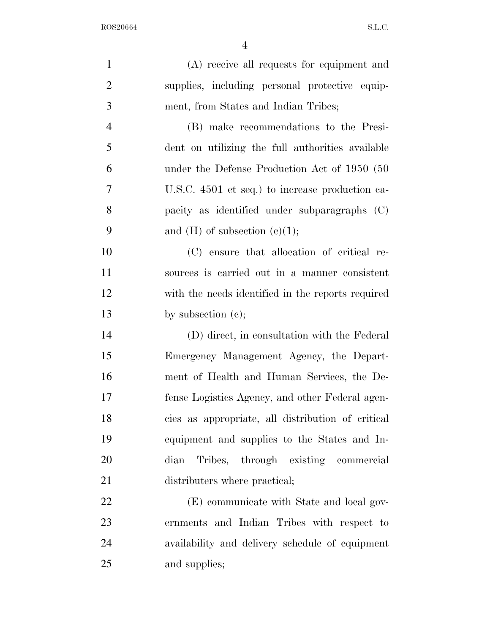| $\mathbf{1}$   | (A) receive all requests for equipment and        |
|----------------|---------------------------------------------------|
| $\overline{2}$ | supplies, including personal protective equip-    |
| 3              | ment, from States and Indian Tribes;              |
| $\overline{4}$ | (B) make recommendations to the Presi-            |
| 5              | dent on utilizing the full authorities available  |
| 6              | under the Defense Production Act of 1950 (50      |
| 7              | U.S.C. 4501 et seq.) to increase production ca-   |
| 8              | pacity as identified under subparagraphs (C)      |
| 9              | and $(H)$ of subsection $(e)(1)$ ;                |
| 10             | (C) ensure that allocation of critical re-        |
| 11             | sources is carried out in a manner consistent     |
| 12             | with the needs identified in the reports required |
| 13             | by subsection $(e)$ ;                             |
| 14             | (D) direct, in consultation with the Federal      |
| 15             | Emergency Management Agency, the Depart-          |
| 16             | ment of Health and Human Services, the De-        |
| 17             | fense Logistics Agency, and other Federal agen-   |
| 18             | cies as appropriate, all distribution of critical |
| 19             | equipment and supplies to the States and In-      |
| 20             | Tribes, through existing commercial<br>dian       |
| 21             | distributers where practical;                     |
| 22             | (E) communicate with State and local gov-         |
| 23             | ernments and Indian Tribes with respect to        |
| 24             | availability and delivery schedule of equipment   |
| 25             | and supplies;                                     |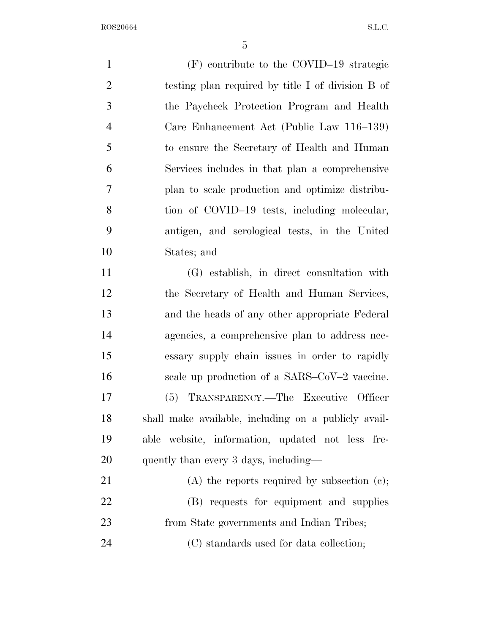(F) contribute to the COVID–19 strategic testing plan required by title I of division B of the Paycheck Protection Program and Health Care Enhancement Act (Public Law 116–139) to ensure the Secretary of Health and Human Services includes in that plan a comprehensive plan to scale production and optimize distribu-8 tion of COVID–19 tests, including molecular, antigen, and serological tests, in the United States; and (G) establish, in direct consultation with the Secretary of Health and Human Services, and the heads of any other appropriate Federal agencies, a comprehensive plan to address nec-essary supply chain issues in order to rapidly

 (5) TRANSPARENCY.—The Executive Officer shall make available, including on a publicly avail- able website, information, updated not less fre-20 quently than every 3 days, including—

16 scale up production of a SARS–CoV–2 vaccine.

21 (A) the reports required by subsection (c); (B) requests for equipment and supplies from State governments and Indian Tribes; (C) standards used for data collection;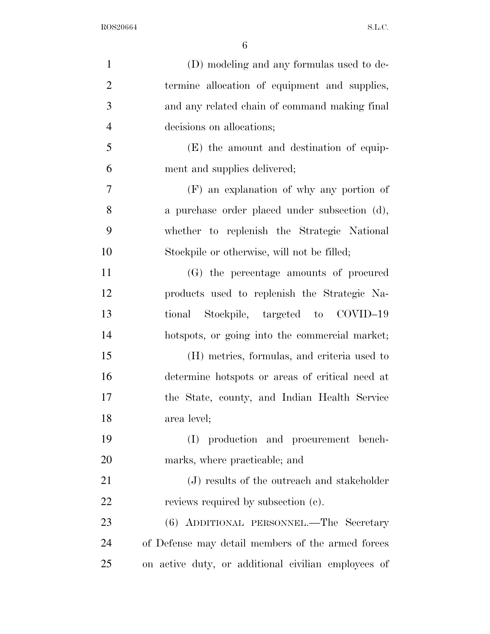| $\mathbf{1}$   | (D) modeling and any formulas used to de-           |
|----------------|-----------------------------------------------------|
| $\overline{2}$ | termine allocation of equipment and supplies,       |
| 3              | and any related chain of command making final       |
| $\overline{4}$ | decisions on allocations;                           |
| 5              | (E) the amount and destination of equip-            |
| 6              | ment and supplies delivered;                        |
| 7              | (F) an explanation of why any portion of            |
| 8              | a purchase order placed under subsection (d),       |
| 9              | whether to replenish the Strategic National         |
| 10             | Stockpile or otherwise, will not be filled;         |
| 11             | (G) the percentage amounts of procured              |
| 12             | products used to replenish the Strategic Na-        |
| 13             | Stockpile, targeted to COVID-19<br>tional           |
| 14             | hotspots, or going into the commercial market;      |
| 15             | (H) metrics, formulas, and criteria used to         |
| 16             | determine hotspots or areas of critical need at     |
| 17             | the State, county, and Indian Health Service        |
| 18             | area level;                                         |
| 19             | (I) production and procurement bench-               |
| 20             | marks, where practicable; and                       |
| 21             | (J) results of the outreach and stakeholder         |
| 22             | reviews required by subsection (c).                 |
| 23             | (6) ADDITIONAL PERSONNEL.—The Secretary             |
| 24             | of Defense may detail members of the armed forces   |
| 25             | on active duty, or additional civilian employees of |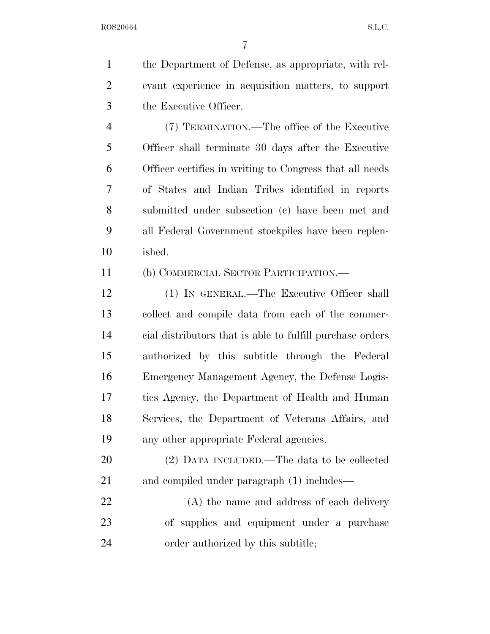the Department of Defense, as appropriate, with rel- evant experience in acquisition matters, to support the Executive Officer. (7) TERMINATION.—The office of the Executive

 Officer shall terminate 30 days after the Executive Officer certifies in writing to Congress that all needs of States and Indian Tribes identified in reports submitted under subsection (c) have been met and all Federal Government stockpiles have been replen-ished.

(b) COMMERCIAL SECTOR PARTICIPATION.—

 (1) IN GENERAL.—The Executive Officer shall collect and compile data from each of the commer- cial distributors that is able to fulfill purchase orders authorized by this subtitle through the Federal Emergency Management Agency, the Defense Logis- tics Agency, the Department of Health and Human Services, the Department of Veterans Affairs, and any other appropriate Federal agencies.

 (2) DATA INCLUDED.—The data to be collected 21 and compiled under paragraph (1) includes—

 (A) the name and address of each delivery of supplies and equipment under a purchase order authorized by this subtitle;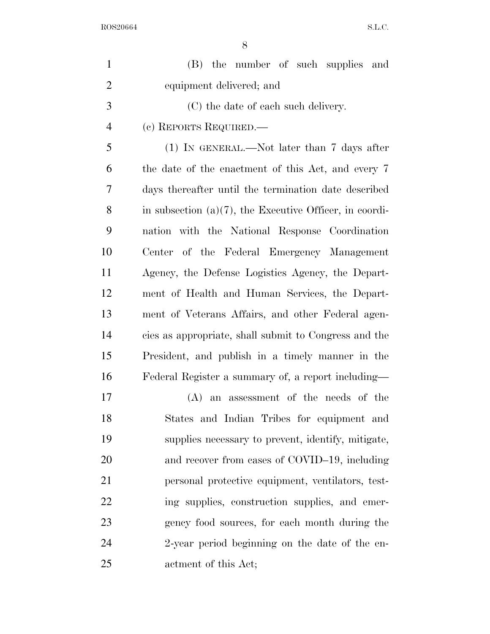| $\mathbf{1}$   | (B) the number of such supplies and                        |
|----------------|------------------------------------------------------------|
| $\overline{2}$ | equipment delivered; and                                   |
| 3              | (C) the date of each such delivery.                        |
| $\overline{4}$ | (c) REPORTS REQUIRED.—                                     |
| 5              | $(1)$ In GENERAL.—Not later than 7 days after              |
| 6              | the date of the enactment of this Act, and every 7         |
| 7              | days thereafter until the termination date described       |
| 8              | in subsection $(a)(7)$ , the Executive Officer, in coordi- |
| 9              | nation with the National Response Coordination             |
| 10             | of the Federal Emergency Management<br>Center              |
| 11             | Agency, the Defense Logistics Agency, the Depart-          |
| 12             | ment of Health and Human Services, the Depart-             |
| 13             | ment of Veterans Affairs, and other Federal agen-          |
| 14             | cies as appropriate, shall submit to Congress and the      |
| 15             | President, and publish in a timely manner in the           |
| 16             | Federal Register a summary of, a report including—         |
| 17             | $(A)$ an assessment of the needs of the                    |
| 18             | States and Indian Tribes for equipment and                 |
| 19             | supplies necessary to prevent, identify, mitigate,         |
| 20             | and recover from cases of COVID-19, including              |
| 21             | personal protective equipment, ventilators, test-          |
| 22             | ing supplies, construction supplies, and emer-             |
| 23             | gency food sources, for each month during the              |
| 24             | 2-year period beginning on the date of the en-             |
| 25             | actment of this Act;                                       |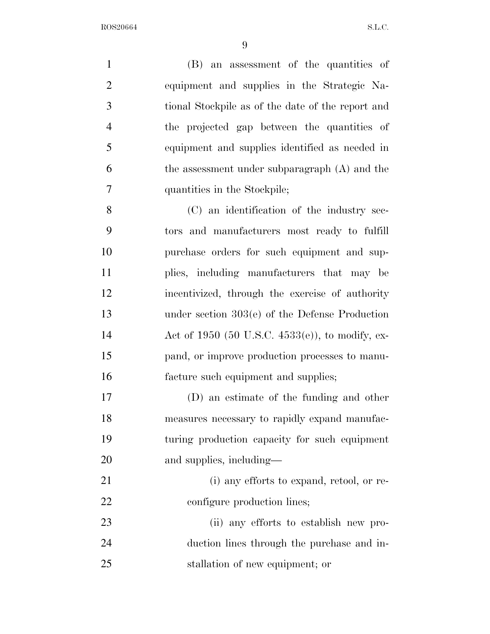(B) an assessment of the quantities of equipment and supplies in the Strategic Na- tional Stockpile as of the date of the report and the projected gap between the quantities of equipment and supplies identified as needed in the assessment under subparagraph (A) and the quantities in the Stockpile; (C) an identification of the industry sec-tors and manufacturers most ready to fulfill

 purchase orders for such equipment and sup- plies, including manufacturers that may be incentivized, through the exercise of authority under section 303(e) of the Defense Production Act of 1950 (50 U.S.C. 4533(e)), to modify, ex- pand, or improve production processes to manu-facture such equipment and supplies;

 (D) an estimate of the funding and other measures necessary to rapidly expand manufac- turing production capacity for such equipment and supplies, including—

21 (i) any efforts to expand, retool, or re-22 configure production lines;

 (ii) any efforts to establish new pro- duction lines through the purchase and in-stallation of new equipment; or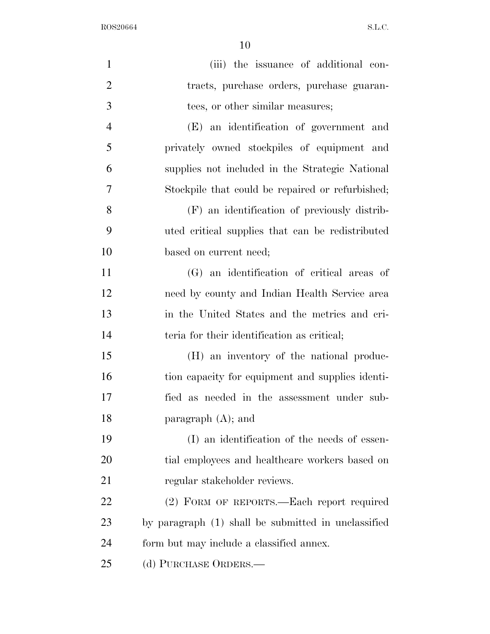$8.1.83 \times 10^{-10}$  ROS20664

| $\mathbf{1}$   | (iii) the issuance of additional con-               |
|----------------|-----------------------------------------------------|
| $\overline{2}$ | tracts, purchase orders, purchase guaran-           |
| 3              | tees, or other similar measures;                    |
| $\overline{4}$ | (E) an identification of government and             |
| 5              | privately owned stockpiles of equipment and         |
| 6              | supplies not included in the Strategic National     |
| 7              | Stockpile that could be repaired or refurbished;    |
| 8              | (F) an identification of previously distrib-        |
| 9              | uted critical supplies that can be redistributed    |
| 10             | based on current need;                              |
| 11             | (G) an identification of critical areas of          |
| 12             | need by county and Indian Health Service area       |
| 13             | in the United States and the metrics and cri-       |
| 14             | teria for their identification as critical;         |
| 15             | (H) an inventory of the national produc-            |
| 16             | tion capacity for equipment and supplies identi-    |
| 17             | fied as needed in the assessment under sub-         |
| 18             | paragraph $(A)$ ; and                               |
| 19             | (I) an identification of the needs of essen-        |
| 20             | tial employees and healthcare workers based on      |
| 21             | regular stakeholder reviews.                        |
| 22             | (2) FORM OF REPORTS.—Each report required           |
| 23             | by paragraph (1) shall be submitted in unclassified |
| 24             | form but may include a classified annex.            |
| 25             | (d) PURCHASE ORDERS.—                               |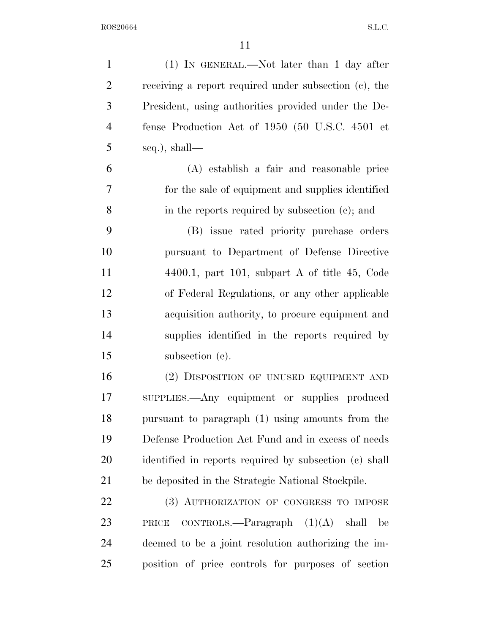$\rm{ROS20664} \qquad \qquad \rm{S.L.C.}$ 

| $\mathbf{1}$   | $(1)$ IN GENERAL.—Not later than 1 day after           |
|----------------|--------------------------------------------------------|
| $\overline{2}$ | receiving a report required under subsection (c), the  |
| 3              | President, using authorities provided under the De-    |
| $\overline{4}$ | fense Production Act of 1950 (50 U.S.C. 4501 et        |
| 5              | seq.), shall—                                          |
| 6              | (A) establish a fair and reasonable price              |
| 7              | for the sale of equipment and supplies identified      |
| 8              | in the reports required by subsection (c); and         |
| 9              | (B) issue rated priority purchase orders               |
| 10             | pursuant to Department of Defense Directive            |
| 11             | $4400.1$ , part 101, subpart A of title 45, Code       |
| 12             | of Federal Regulations, or any other applicable        |
| 13             | acquisition authority, to procure equipment and        |
| 14             | supplies identified in the reports required by         |
| 15             | subsection (c).                                        |
| 16             | (2) DISPOSITION OF UNUSED EQUIPMENT AND                |
| 17             | SUPPLIES.—Any equipment or supplies produced           |
| 18             | pursuant to paragraph (1) using amounts from the       |
| 19             | Defense Production Act Fund and in excess of needs     |
| 20             | identified in reports required by subsection (c) shall |
| 21             | be deposited in the Strategic National Stockpile.      |
| 22             | (3) AUTHORIZATION OF CONGRESS TO IMPOSE                |
| 23             | CONTROLS.—Paragraph $(1)(A)$ shall<br>PRICE<br>be      |
| 24             | deemed to be a joint resolution authorizing the im-    |
| 25             | position of price controls for purposes of section     |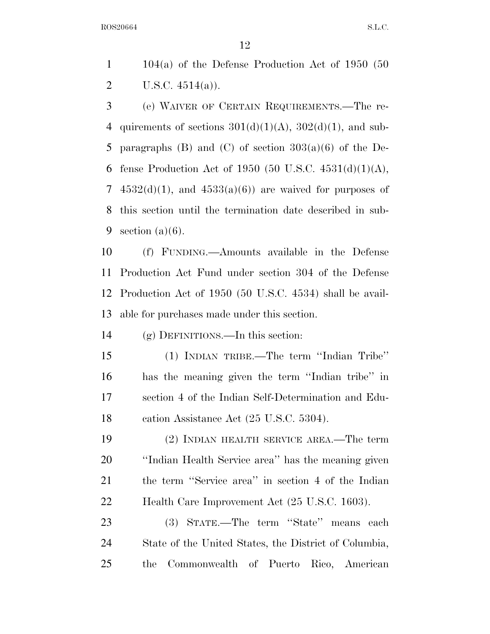104(a) of the Defense Production Act of 1950 (50 2 U.S.C.  $4514(a)$ ).

 (e) WAIVER OF CERTAIN REQUIREMENTS.—The re-4 quirements of sections  $301(d)(1)(A)$ ,  $302(d)(1)$ , and sub-5 paragraphs  $(B)$  and  $(C)$  of section  $303(a)(6)$  of the De-6 fense Production Act of 1950 (50 U.S.C.  $4531(d)(1)(A)$ , 7  $4532(d)(1)$ , and  $4533(a)(6)$  are waived for purposes of this section until the termination date described in sub-9 section  $(a)(6)$ .

 (f) FUNDING.—Amounts available in the Defense Production Act Fund under section 304 of the Defense Production Act of 1950 (50 U.S.C. 4534) shall be avail-able for purchases made under this section.

(g) DEFINITIONS.—In this section:

 (1) INDIAN TRIBE.—The term ''Indian Tribe'' has the meaning given the term ''Indian tribe'' in section 4 of the Indian Self-Determination and Edu-18 cation Assistance Act (25 U.S.C. 5304).

 (2) INDIAN HEALTH SERVICE AREA.—The term ''Indian Health Service area'' has the meaning given the term ''Service area'' in section 4 of the Indian Health Care Improvement Act (25 U.S.C. 1603).

 (3) STATE.—The term ''State'' means each State of the United States, the District of Columbia, the Commonwealth of Puerto Rico, American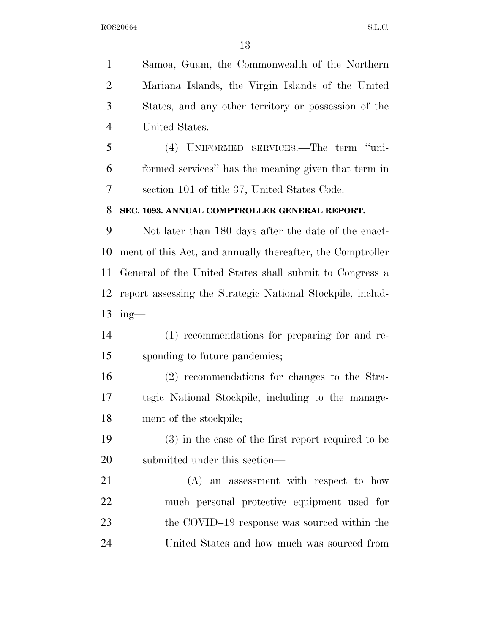Samoa, Guam, the Commonwealth of the Northern Mariana Islands, the Virgin Islands of the United States, and any other territory or possession of the United States.

 (4) UNIFORMED SERVICES.—The term ''uni- formed services'' has the meaning given that term in section 101 of title 37, United States Code.

#### **SEC. 1093. ANNUAL COMPTROLLER GENERAL REPORT.**

 Not later than 180 days after the date of the enact- ment of this Act, and annually thereafter, the Comptroller General of the United States shall submit to Congress a report assessing the Strategic National Stockpile, includ-ing—

 (1) recommendations for preparing for and re-sponding to future pandemics;

 (2) recommendations for changes to the Stra- tegic National Stockpile, including to the manage-ment of the stockpile;

 (3) in the case of the first report required to be submitted under this section—

 (A) an assessment with respect to how much personal protective equipment used for the COVID–19 response was sourced within the United States and how much was sourced from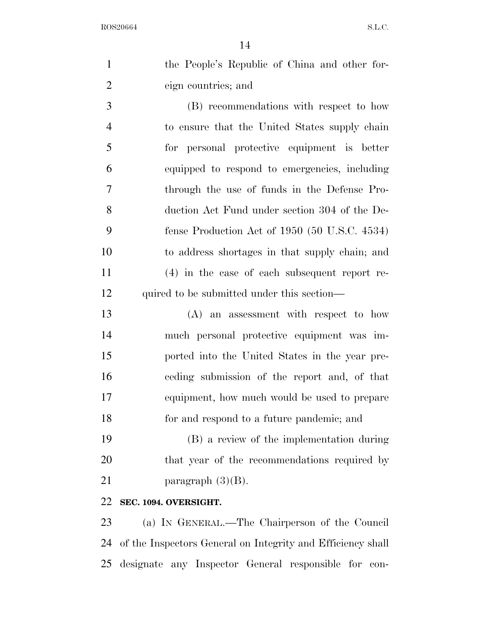|                | 14                                                          |
|----------------|-------------------------------------------------------------|
| $\mathbf{1}$   | the People's Republic of China and other for-               |
| $\overline{2}$ | eign countries; and                                         |
| 3              | (B) recommendations with respect to how                     |
| $\overline{4}$ | to ensure that the United States supply chain               |
| 5              | for personal protective equipment is better                 |
| 6              | equipped to respond to emergencies, including               |
| $\tau$         | through the use of funds in the Defense Pro-                |
| 8              | duction Act Fund under section 304 of the De-               |
| 9              | fense Production Act of $1950$ (50 U.S.C. 4534)             |
| 10             | to address shortages in that supply chain; and              |
| 11             | $(4)$ in the case of each subsequent report re-             |
| 12             | quired to be submitted under this section—                  |
| 13             | (A) an assessment with respect to how                       |
| 14             | much personal protective equipment was im-                  |
| 15             | ported into the United States in the year pre-              |
| 16             | ceding submission of the report and, of that                |
| 17             | equipment, how much would be used to prepare                |
| 18             | for and respond to a future pandemic; and                   |
| 19             | (B) a review of the implementation during                   |
| 20             | that year of the recommendations required by                |
| 21             | paragraph $(3)(B)$ .                                        |
| 22             | SEC. 1094. OVERSIGHT.                                       |
| 23             | (a) IN GENERAL.—The Chairperson of the Council              |
| 24             | of the Inspectors General on Integrity and Efficiency shall |

designate any Inspector General responsible for con-